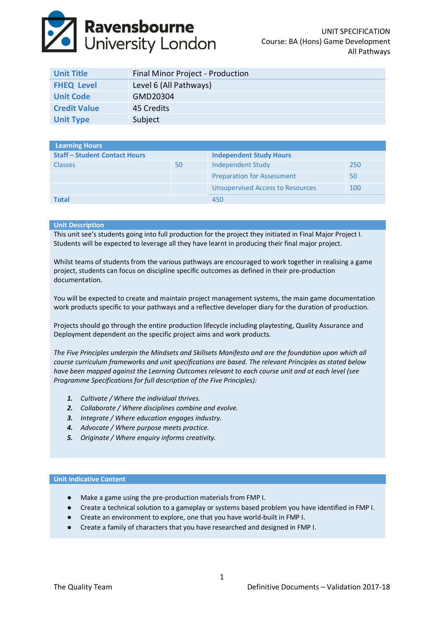# **Ravensbourne**<br>University London

| <b>Unit Title</b>   | Final Minor Project - Production |
|---------------------|----------------------------------|
| <b>FHEQ Level</b>   | Level 6 (All Pathways)           |
| <b>Unit Code</b>    | GMD20304                         |
| <b>Credit Value</b> | 45 Credits                       |
| <b>Unit Type</b>    | Subject                          |

| Learning Hours                     |    |                                         |     |
|------------------------------------|----|-----------------------------------------|-----|
| <b>Staff-Student Contact Hours</b> |    | <b>Independent Study Hours</b>          |     |
| <b>Classes</b>                     | 50 | Independent Study                       | 250 |
|                                    |    | <b>Preparation for Assessment</b>       | 50  |
|                                    |    | <b>Unsupervised Access to Resources</b> | 100 |
| <b>Total</b>                       |    | 450                                     |     |

# **Unit Description**

This unit see's students going into full production for the project they initiated in Final Major Project I. Students will be expected to leverage all they have learnt in producing their final major project.

Whilst teams of students from the various pathways are encouraged to work together in realising a game project, students can focus on discipline specific outcomes as defined in their pre-production documentation.

You will be expected to create and maintain project management systems, the main game documentation work products specific to your pathways and a reflective developer diary for the duration of production.

Projects should go through the entire production lifecycle including playtesting, Quality Assurance and Deployment dependent on the specific project aims and work products.

*The Five Principles underpin the Mindsets and Skillsets Manifesto and are the foundation upon which all course curriculum frameworks and unit specifications are based. The relevant Principles as stated below have been mapped against the Learning Outcomes relevant to each course unit and at each level (see Programme Specifications for full description of the Five Principles):*

- *1. Cultivate / Where the individual thrives.*
- *2. Collaborate / Where disciplines combine and evolve.*
- *3. Integrate / Where education engages industry.*
- *4. Advocate / Where purpose meets practice.*
- *5. Originate / Where enquiry informs creativity.*

## **Unit Indicative Content**

- Make a game using the pre-production materials from FMP I.
- Create a technical solution to a gameplay or systems based problem you have identified in FMP I.
- Create an environment to explore, one that you have world-built in FMP I.
- Create a family of characters that you have researched and designed in FMP I.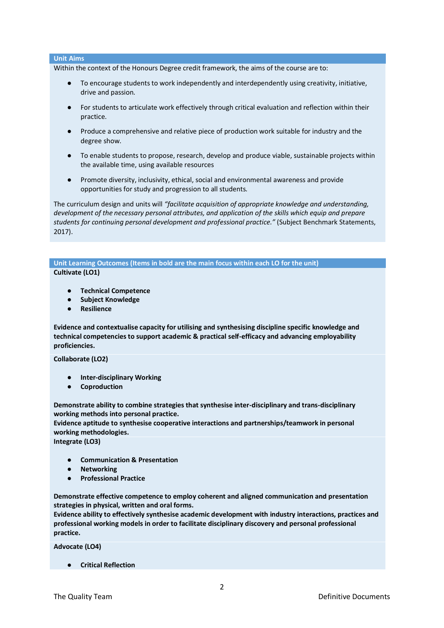# **Unit Aims**

Within the context of the Honours Degree credit framework, the aims of the course are to:

- To encourage students to work independently and interdependently using creativity, initiative, drive and passion.
- For students to articulate work effectively through critical evaluation and reflection within their practice.
- Produce a comprehensive and relative piece of production work suitable for industry and the degree show.
- To enable students to propose, research, develop and produce viable, sustainable projects within the available time, using available resources
- Promote diversity, inclusivity, ethical, social and environmental awareness and provide opportunities for study and progression to all students.

The curriculum design and units will *"facilitate acquisition of appropriate knowledge and understanding, development of the necessary personal attributes, and application of the skills which equip and prepare students for continuing personal development and professional practice."* (Subject Benchmark Statements, 2017).

**Unit Learning Outcomes (Items in bold are the main focus within each LO for the unit) Cultivate (LO1)**

- **Technical Competence**
- **Subject Knowledge**
- **Resilience**

**Evidence and contextualise capacity for utilising and synthesising discipline specific knowledge and technical competencies to support academic & practical self-efficacy and advancing employability proficiencies.**

**Collaborate (LO2)**

- **Inter-disciplinary Working**
- **Coproduction**

**Demonstrate ability to combine strategies that synthesise inter-disciplinary and trans-disciplinary working methods into personal practice.**

**Evidence aptitude to synthesise cooperative interactions and partnerships/teamwork in personal working methodologies.**

**Integrate (LO3)**

- **Communication & Presentation**
- **Networking**
- **Professional Practice**

**Demonstrate effective competence to employ coherent and aligned communication and presentation strategies in physical, written and oral forms.** 

**Evidence ability to effectively synthesise academic development with industry interactions, practices and professional working models in order to facilitate disciplinary discovery and personal professional practice.**

**Advocate (LO4)**

● **Critical Reflection**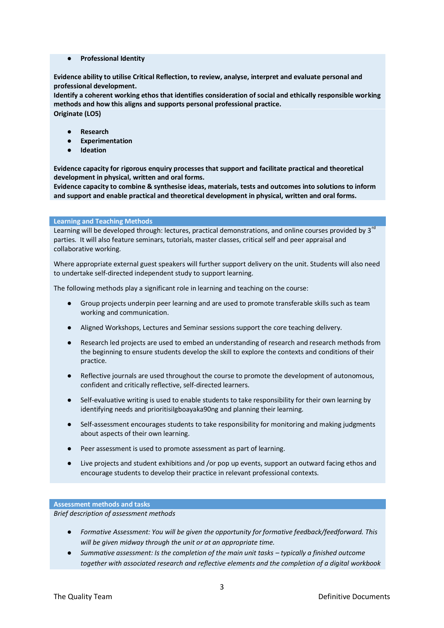● **Professional Identity**

**Evidence ability to utilise Critical Reflection, to review, analyse, interpret and evaluate personal and professional development.** 

**Identify a coherent working ethos that identifies consideration of social and ethically responsible working methods and how this aligns and supports personal professional practice. Originate (LO5)**

- **Research**
- **Experimentation**
- **Ideation**

**Evidence capacity for rigorous enquiry processes that support and facilitate practical and theoretical development in physical, written and oral forms.**

**Evidence capacity to combine & synthesise ideas, materials, tests and outcomes into solutions to inform and support and enable practical and theoretical development in physical, written and oral forms.**

#### **Learning and Teaching Methods**

Learning will be developed through: lectures, practical demonstrations, and online courses provided by 3<sup>rd</sup> parties. It will also feature seminars, tutorials, master classes, critical self and peer appraisal and collaborative working.

Where appropriate external guest speakers will further support delivery on the unit. Students will also need to undertake self‐directed independent study to support learning.

The following methods play a significant role in learning and teaching on the course:

- Group projects underpin peer learning and are used to promote transferable skills such as team working and communication.
- Aligned Workshops, Lectures and Seminar sessions support the core teaching delivery.
- Research led projects are used to embed an understanding of research and research methods from the beginning to ensure students develop the skill to explore the contexts and conditions of their practice.
- Reflective journals are used throughout the course to promote the development of autonomous, confident and critically reflective, self‐directed learners.
- Self-evaluative writing is used to enable students to take responsibility for their own learning by identifying needs and prioritisiIgboayaka90ng and planning their learning.
- Self-assessment encourages students to take responsibility for monitoring and making judgments about aspects of their own learning.
- Peer assessment is used to promote assessment as part of learning.
- Live projects and student exhibitions and /or pop up events, support an outward facing ethos and encourage students to develop their practice in relevant professional contexts.

## **Assessment methods and tasks**

*Brief description of assessment methods*

- *Formative Assessment: You will be given the opportunity for formative feedback/feedforward. This will be given midway through the unit or at an appropriate time.*
- *Summative assessment: Is the completion of the main unit tasks – typically a finished outcome together with associated research and reflective elements and the completion of a digital workbook*